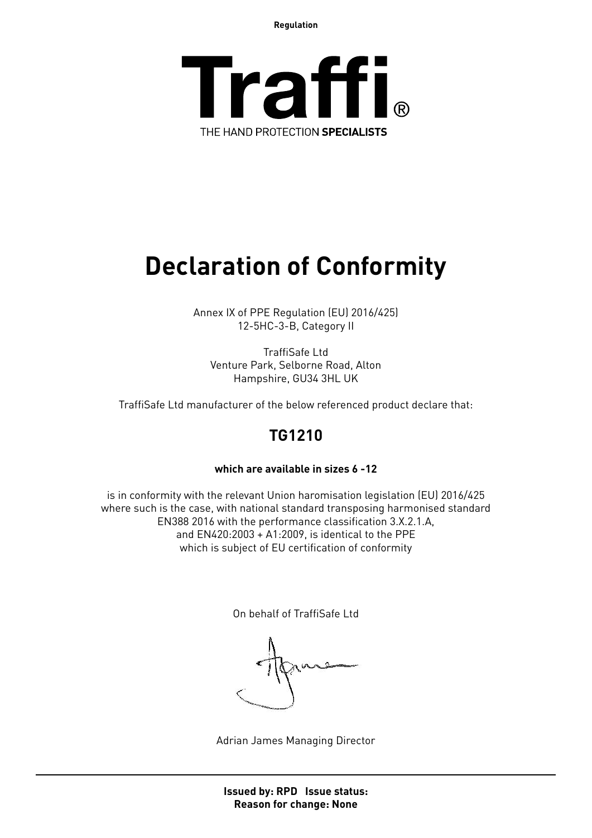**Regulation**



## **Declaration of Conformity**

Annex IX of PPE Regulation (EU) 2016/425) 12-5HC-3-B, Category II

TraffiSafe Ltd Venture Park, Selborne Road, Alton Hampshire, GU34 3HL UK

TraffiSafe Ltd manufacturer of the below referenced product declare that:

### **TG1210**

#### **which are available in sizes 6 -12**

is in conformity with the relevant Union haromisation legislation (EU) 2016/425 where such is the case, with national standard transposing harmonised standard EN388 2016 with the performance classification 3.X.2.1.A, and EN420:2003 + A1:2009, is identical to the PPE which is subject of EU certification of conformity

On behalf of TraffiSafe Ltd

Adrian James Managing Director

**Issued by: RPD Issue status: Reason for change: None**